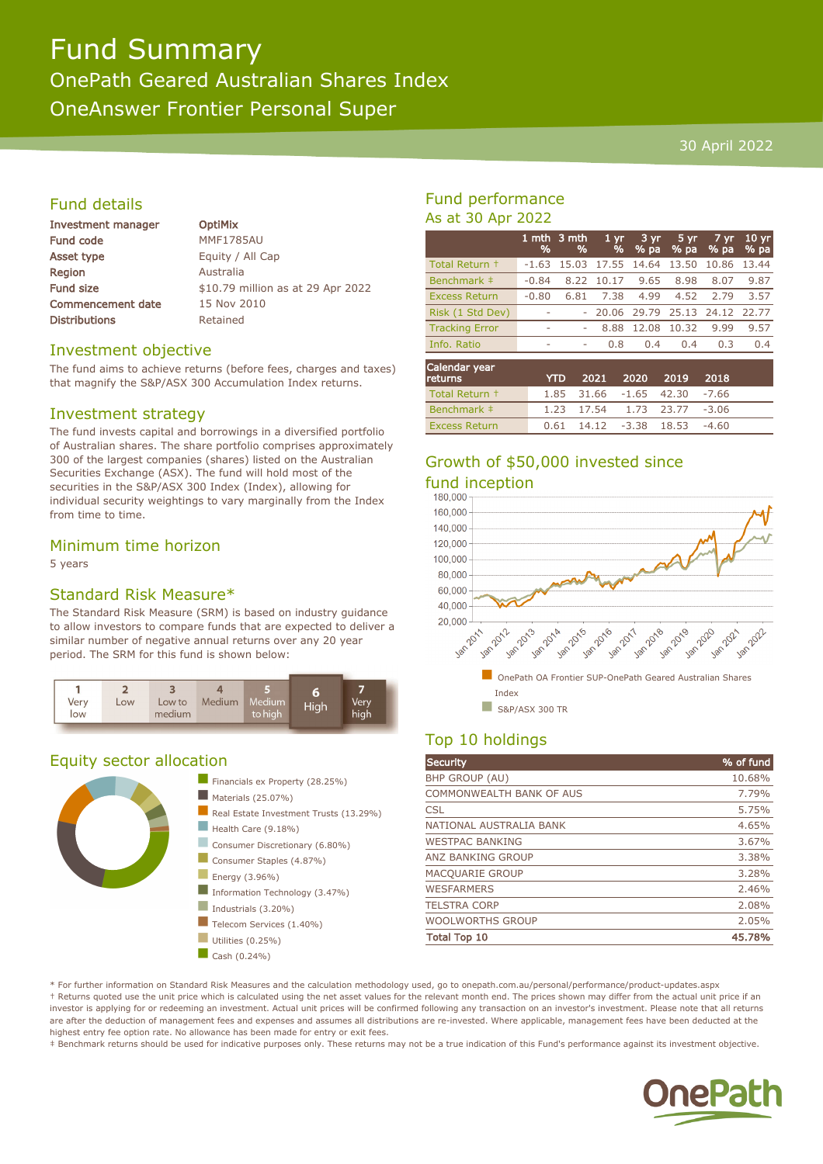# Fund Summary

## OnePath Geared Australian Shares Index

OneAnswer Frontier Personal Super

## 30 April 2022

## Fund details

| Investment manager       | <b>OptiMix</b> |
|--------------------------|----------------|
| Fund code                | <b>MMF178</b>  |
| Asset type               | Equity /       |
| Region                   | Australia      |
| Fund size                | $$10.79$ n     |
| <b>Commencement date</b> | 15 Nov 2       |
| Distributions            | Retained       |
|                          |                |

785AU / All Cap Fund it as at 29 Apr 2022  $(2010$ 

## Investment objective

The fund aims to achieve returns (before fees, charges and taxes) that magnify the S&P/ASX 300 Accumulation Index returns.

## Investment strategy

The fund invests capital and borrowings in a diversified portfolio of Australian shares. The share portfolio comprises approximately 300 of the largest companies (shares) listed on the Australian Securities Exchange (ASX). The fund will hold most of the securities in the S&P/ASX 300 Index (Index), allowing for individual security weightings to vary marginally from the Index from time to time.

## Minimum time horizon

5 years

## Standard Risk Measure\*

The Standard Risk Measure (SRM) is based on industry guidance to allow investors to compare funds that are expected to deliver a similar number of negative annual returns over any 20 year period. The SRM for this fund is shown below:



## Equity sector allocation



## Fund performance As at 30 Apr 2022

|                       | %       | 1 mth $3$ mth<br>% | $1 \, \text{yr}$<br>% | $3 \,\mathrm{yr}$<br>% pa     | 5 yr<br>% pa | 7 yr<br>% pa | 10 <sub>yr</sub><br>% pa |
|-----------------------|---------|--------------------|-----------------------|-------------------------------|--------------|--------------|--------------------------|
| Total Return +        | $-1.63$ | 15.03              |                       | 17.55 14.64                   | 13.50        | 10.86        | 13.44                    |
| Benchmark #           | $-0.84$ | 8.22               | 10.17                 | 9.65                          | 8.98         | 8.07         | 9.87                     |
| <b>Excess Return</b>  | $-0.80$ | 6.81               | 7.38                  | 4.99                          | 4.52         | 2.79         | 3.57                     |
| Risk (1 Std Dev)      |         |                    |                       | 20.06 29.79 25.13 24.12 22.77 |              |              |                          |
| <b>Tracking Error</b> | ۰       |                    | 8.88                  | 12.08                         | 10.32        | 9.99         | 9.57                     |
| Info. Ratio           | ۰       | ۰                  | 0.8                   | 0.4                           | 0.4          | 0.3          | 0.4                      |
|                       |         |                    |                       |                               |              |              |                          |

| Calendar year<br>returns | <b>YTD</b> |  | 2021 2020 2019 2018                    |  |
|--------------------------|------------|--|----------------------------------------|--|
| Total Return +           |            |  | $1.85$ $31.66$ $-1.65$ $42.30$ $-7.66$ |  |
| Benchmark #              |            |  | 1.23 17.54 1.73 23.77 -3.06            |  |
| <b>Excess Return</b>     |            |  | $0.61$ 14.12 -3.38 18.53 -4.60         |  |

# Growth of \$50,000 invested since fund inception



## Top 10 holdings

| <b>Security</b>          | % of fund |
|--------------------------|-----------|
| <b>BHP GROUP (AU)</b>    | 10.68%    |
| COMMONWEALTH BANK OF AUS | 7.79%     |
| <b>CSL</b>               | 5.75%     |
| NATIONAL AUSTRALIA BANK  | 4.65%     |
| <b>WESTPAC BANKING</b>   | 3.67%     |
| <b>ANZ BANKING GROUP</b> | 3.38%     |
| MACQUARIE GROUP          | 3.28%     |
| <b>WESFARMERS</b>        | 2.46%     |
| <b>TELSTRA CORP</b>      | 2.08%     |
| <b>WOOLWORTHS GROUP</b>  | 2.05%     |
| <b>Total Top 10</b>      | 45.78%    |

\* For further information on Standard Risk Measures and the calculation methodology used, go to onepath.com.au/personal/performance/product-updates.aspx † Returns quoted use the unit price which is calculated using the net asset values for the relevant month end. The prices shown may differ from the actual unit price if an investor is applying for or redeeming an investment. Actual unit prices will be confirmed following any transaction on an investor's investment. Please note that all returns are after the deduction of management fees and expenses and assumes all distributions are re-invested. Where applicable, management fees have been deducted at the highest entry fee option rate. No allowance has been made for entry or exit fees.

‡ Benchmark returns should be used for indicative purposes only. These returns may not be a true indication of this Fund's performance against its investment objective.